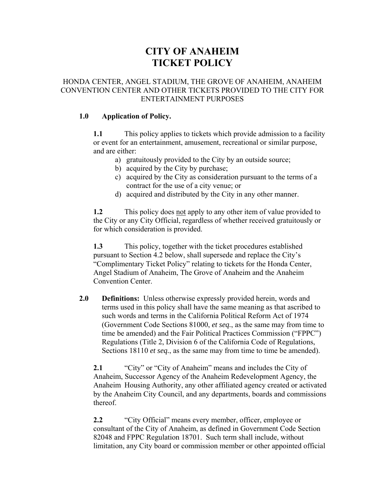# **CITY OF ANAHEIM TICKET POLICY**

#### HONDA CENTER, ANGEL STADIUM, THE GROVE OF ANAHEIM, ANAHEIM CONVENTION CENTER AND OTHER TICKETS PROVIDED TO THE CITY FOR ENTERTAINMENT PURPOSES

#### **1.0 Application of Policy.**

**1.1** This policy applies to tickets which provide admission to a facility or event for an entertainment, amusement, recreational or similar purpose, and are either:

- a) gratuitously provided to the City by an outside source;
- b) acquired by the City by purchase;
- c) acquired by the City as consideration pursuant to the terms of a contract for the use of a city venue; or
- d) acquired and distributed by the City in any other manner.

**1.2** This policy does not apply to any other item of value provided to the City or any City Official, regardless of whether received gratuitously or for which consideration is provided.

**1.3** This policy, together with the ticket procedures established pursuant to Section 4.2 below, shall supersede and replace the City's "Complimentary Ticket Policy" relating to tickets for the Honda Center, Angel Stadium of Anaheim, The Grove of Anaheim and the Anaheim Convention Center.

**2.0 Definitions:** Unless otherwise expressly provided herein, words and terms used in this policy shall have the same meaning as that ascribed to such words and terms in the California Political Reform Act of 1974 (Government Code Sections 81000, *et seq.*, as the same may from time to time be amended) and the Fair Political Practices Commission ("FPPC") Regulations (Title 2, Division 6 of the California Code of Regulations, Sections 18110 *et seq.*, as the same may from time to time be amended).

**2.1** "City" or "City of Anaheim" means and includes the City of Anaheim, Successor Agency of the Anaheim Redevelopment Agency, the Anaheim Housing Authority, any other affiliated agency created or activated by the Anaheim City Council, and any departments, boards and commissions thereof.

**2.2** "City Official" means every member, officer, employee or consultant of the City of Anaheim, as defined in Government Code Section 82048 and FPPC Regulation 18701. Such term shall include, without limitation, any City board or commission member or other appointed official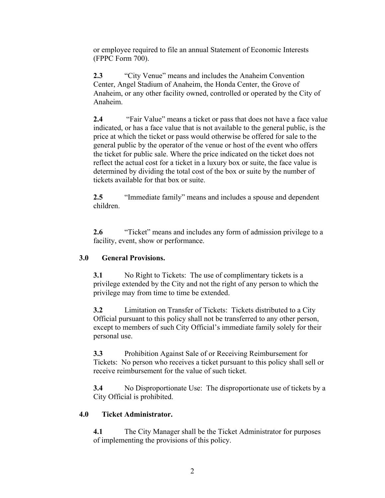or employee required to file an annual Statement of Economic Interests (FPPC Form 700).

**2.3** "City Venue" means and includes the Anaheim Convention Center, Angel Stadium of Anaheim, the Honda Center, the Grove of Anaheim, or any other facility owned, controlled or operated by the City of Anaheim.

**2.4** "Fair Value" means a ticket or pass that does not have a face value indicated, or has a face value that is not available to the general public, is the price at which the ticket or pass would otherwise be offered for sale to the general public by the operator of the venue or host of the event who offers the ticket for public sale. Where the price indicated on the ticket does not reflect the actual cost for a ticket in a luxury box or suite, the face value is determined by dividing the total cost of the box or suite by the number of tickets available for that box or suite.

**2.5** "Immediate family" means and includes a spouse and dependent children.

**2.6** "Ticket" means and includes any form of admission privilege to a facility, event, show or performance.

# **3.0 General Provisions.**

**3.1** No Right to Tickets: The use of complimentary tickets is a privilege extended by the City and not the right of any person to which the privilege may from time to time be extended.

**3.2** Limitation on Transfer of Tickets: Tickets distributed to a City Official pursuant to this policy shall not be transferred to any other person, except to members of such City Official's immediate family solely for their personal use.

**3.3** Prohibition Against Sale of or Receiving Reimbursement for Tickets: No person who receives a ticket pursuant to this policy shall sell or receive reimbursement for the value of such ticket.

**3.4** No Disproportionate Use: The disproportionate use of tickets by a City Official is prohibited.

# **4.0 Ticket Administrator.**

**4.1** The City Manager shall be the Ticket Administrator for purposes of implementing the provisions of this policy.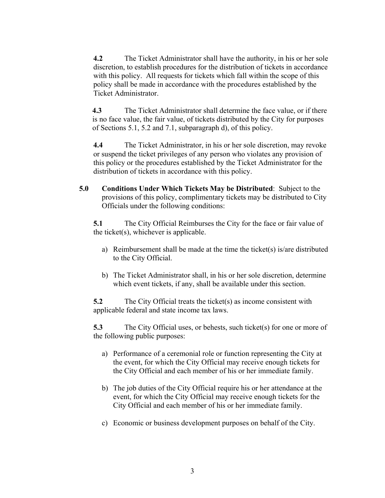**4.2** The Ticket Administrator shall have the authority, in his or her sole discretion, to establish procedures for the distribution of tickets in accordance with this policy. All requests for tickets which fall within the scope of this policy shall be made in accordance with the procedures established by the Ticket Administrator.

**4.3** The Ticket Administrator shall determine the face value, or if there is no face value, the fair value, of tickets distributed by the City for purposes of Sections 5.1, 5.2 and 7.1, subparagraph d), of this policy.

**4.4** The Ticket Administrator, in his or her sole discretion, may revoke or suspend the ticket privileges of any person who violates any provision of this policy or the procedures established by the Ticket Administrator for the distribution of tickets in accordance with this policy.

**5.0 Conditions Under Which Tickets May be Distributed**: Subject to the provisions of this policy, complimentary tickets may be distributed to City Officials under the following conditions:

**5.1** The City Official Reimburses the City for the face or fair value of the ticket(s), whichever is applicable.

- a) Reimbursement shall be made at the time the ticket(s) is/are distributed to the City Official.
- b) The Ticket Administrator shall, in his or her sole discretion, determine which event tickets, if any, shall be available under this section.

**5.2** The City Official treats the ticket(s) as income consistent with applicable federal and state income tax laws.

**5.3** The City Official uses, or behests, such ticket(s) for one or more of the following public purposes:

- a) Performance of a ceremonial role or function representing the City at the event, for which the City Official may receive enough tickets for the City Official and each member of his or her immediate family.
- b) The job duties of the City Official require his or her attendance at the event, for which the City Official may receive enough tickets for the City Official and each member of his or her immediate family.
- c) Economic or business development purposes on behalf of the City.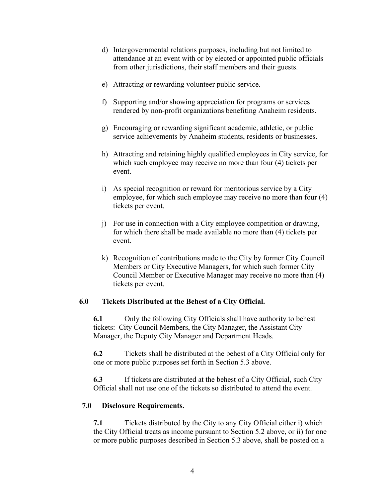- d) Intergovernmental relations purposes, including but not limited to attendance at an event with or by elected or appointed public officials from other jurisdictions, their staff members and their guests.
- e) Attracting or rewarding volunteer public service.
- f) Supporting and/or showing appreciation for programs or services rendered by non-profit organizations benefiting Anaheim residents.
- g) Encouraging or rewarding significant academic, athletic, or public service achievements by Anaheim students, residents or businesses.
- h) Attracting and retaining highly qualified employees in City service, for which such employee may receive no more than four (4) tickets per event.
- i) As special recognition or reward for meritorious service by a City employee, for which such employee may receive no more than four (4) tickets per event.
- j) For use in connection with a City employee competition or drawing, for which there shall be made available no more than (4) tickets per event.
- k) Recognition of contributions made to the City by former City Council Members or City Executive Managers, for which such former City Council Member or Executive Manager may receive no more than (4) tickets per event.

# **6.0 Tickets Distributed at the Behest of a City Official.**

**6.1** Only the following City Officials shall have authority to behest tickets: City Council Members, the City Manager, the Assistant City Manager, the Deputy City Manager and Department Heads.

**6.2** Tickets shall be distributed at the behest of a City Official only for one or more public purposes set forth in Section 5.3 above.

**6.3** If tickets are distributed at the behest of a City Official, such City Official shall not use one of the tickets so distributed to attend the event.

#### **7.0 Disclosure Requirements.**

**7.1** Tickets distributed by the City to any City Official either i) which the City Official treats as income pursuant to Section 5.2 above, or ii) for one or more public purposes described in Section 5.3 above, shall be posted on a